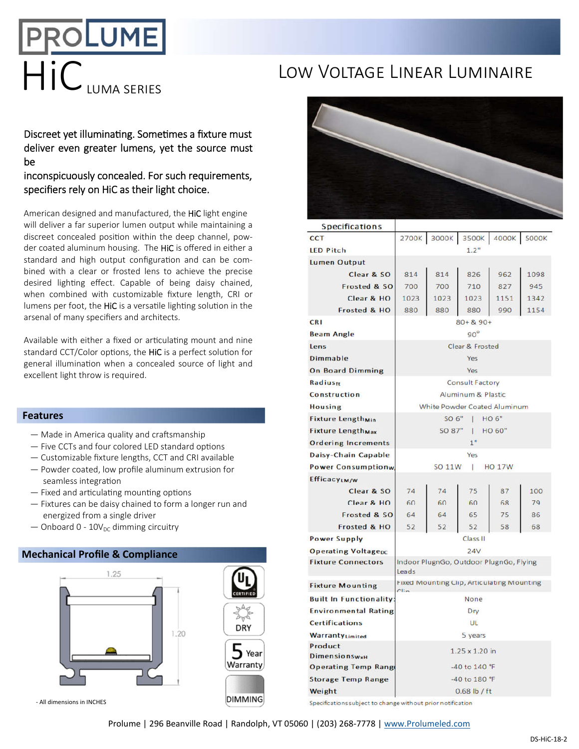# HIC LUMA SERIES LOW VOLTAGE LINEAR LUMINAIRE

Discreet yet illuminating. Sometimes a fixture must deliver even greater lumens, yet the source must be

## inconspicuously concealed. For such requirements, specifiers rely on HiC as their light choice.

American designed and manufactured, the HiC light engine will deliver a far superior lumen output while maintaining a discreet concealed position within the deep channel, powder coated aluminum housing. The HiC is offered in either a standard and high output configuration and can be combined with a clear or frosted lens to achieve the precise desired lighting effect. Capable of being daisy chained, when combined with customizable fixture length, CRI or lumens per foot, the HiC is a versatile lighting solution in the arsenal of many specifiers and architects.

Available with either a fixed or articulating mount and nine standard CCT/Color options, the HiC is a perfect solution for general illumination when a concealed source of light and excellent light throw is required.

### **Features**

- $-$  Made in America quality and craftsmanship
- $-$  Five CCTs and four colored LED standard options
- Customizable fixture lengths, CCT and CRI available
- Powder coated, low profile aluminum extrusion for seamless integration
- $-$  Fixed and articulating mounting options
- Fixtures can be daisy chained to form a longer run and energized from a single driver
- $-$  Onboard 0 10V<sub>DC</sub> dimming circuitry

### **Mechanical Profile & Compliance**



- All dimensions in INCHES



| <b>Specifications</b>               |                                                    |       |       |       |              |
|-------------------------------------|----------------------------------------------------|-------|-------|-------|--------------|
| CCT                                 | 2700K                                              | 3000K | 3500K | 4000K | <b>5000K</b> |
| <b>LED Pitch</b>                    | 1.2"                                               |       |       |       |              |
| <b>Lumen Output</b>                 |                                                    |       |       |       |              |
| Clear & SO                          | 814                                                | 814   | 826   | 962   | 1098         |
| Frosted & SO                        | 700                                                | 700   | 710   | 827   | 945          |
| Clear & HO                          | 1023                                               | 1023  | 1023  | 1151  | 1342         |
| Frosted & HO                        | 880                                                | 880   | 880   | 990   | 1154         |
| <b>CRI</b>                          | $80 + 8.90 +$                                      |       |       |       |              |
| <b>Beam Angle</b>                   | $90^\circ$                                         |       |       |       |              |
| Lens                                | Clear & Frosted                                    |       |       |       |              |
| <b>Dimmable</b>                     | Yes                                                |       |       |       |              |
| <b>On Board Dimming</b>             | Yes                                                |       |       |       |              |
| Radiusfr                            | Consult Factory                                    |       |       |       |              |
| Construction                        | Aluminum & Plastic                                 |       |       |       |              |
| <b>Housing</b>                      | White Powder Coated Aluminum                       |       |       |       |              |
| <b>Fixture Length<sub>Min</sub></b> | SO 6"<br><b>HO6"</b><br>T                          |       |       |       |              |
| <b>Fixture Length<sub>Max</sub></b> | SO 87"<br>HO 60"<br>I.                             |       |       |       |              |
| <b>Ordering Increments</b>          | 1 <sup>0</sup>                                     |       |       |       |              |
| Daisy-Chain Capable                 | Yes                                                |       |       |       |              |
| <b>Power Consumptionw</b>           | SO 11W<br><b>HO 17W</b><br>T                       |       |       |       |              |
| EfficacyLM/W                        |                                                    |       |       |       |              |
| Clear & SO                          | 74                                                 | 74    | 75    | 87    | 100          |
| Clear & HO                          | 60                                                 | 60    | 60    | 68    | 79           |
| Frosted & SO                        | 64                                                 | 64    | 65    | 75    | 86           |
| Frosted & HO                        | 52                                                 | 52    | 52    | 58    | 68           |
| <b>Power Supply</b>                 | Class II                                           |       |       |       |              |
| <b>Operating Voltagepc</b>          | 24V                                                |       |       |       |              |
| <b>Fixture Connectors</b>           | Indoor PlugnGo, Outdoor PlugnGo, Flying<br>Leads   |       |       |       |              |
| <b>Fixture Mounting</b>             | Fixed Mounting Clip, Articulating Mounting<br>Clin |       |       |       |              |
| <b>Built In Functionality:</b>      | None                                               |       |       |       |              |
| <b>Environmental Rating</b>         | Dry                                                |       |       |       |              |
| <b>Certifications</b>               | UL                                                 |       |       |       |              |
| WarrantyLimited                     | 5 years                                            |       |       |       |              |
| Product<br><b>DimensionswxH</b>     | $1.25 \times 1.20$ in                              |       |       |       |              |
| <b>Operating Temp Range</b>         | $-40$ to $140$ °F                                  |       |       |       |              |
| <b>Storage Temp Range</b>           | -40 to 180 °F                                      |       |       |       |              |
| Weight                              | $0.68$ lb / ft                                     |       |       |       |              |
|                                     |                                                    |       |       |       |              |

Specifications subject to change without prior notification

Prolume | 296 Beanville Road | Randolph, VT 05060 | (203) 268-7778 | www.Prolumeled.com